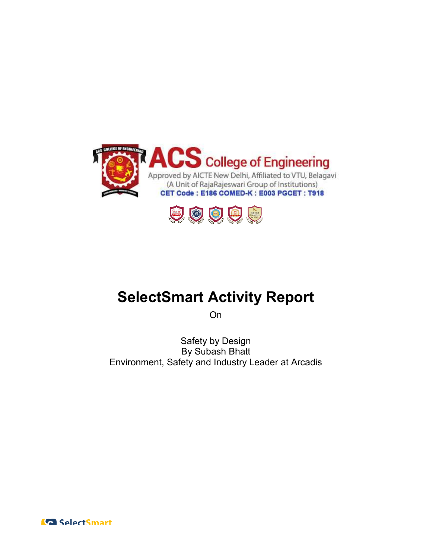



# SelectSmart Activity Report

On

Environment, Safety and Industry Leader at Arcadis Safety Environment, Safety by Design By Subash Bhatt

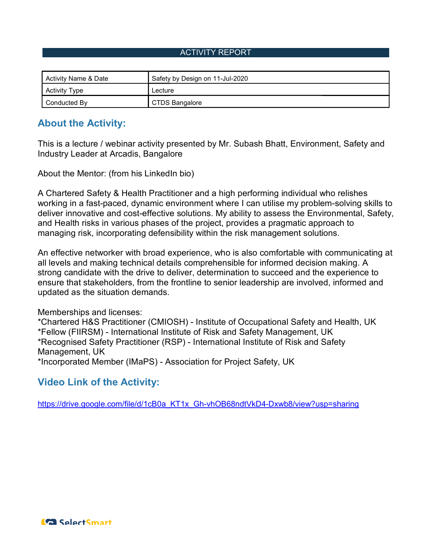#### ACTIVITY REPORT

| Activity Name & Date | Safety by Design on 11-Jul-2020 |
|----------------------|---------------------------------|
| <b>Activity Type</b> | Lecture                         |
| Conducted By         | <b>CTDS Bangalore</b>           |

## About the Activity:

This is a lecture / webinar activity presented by Mr. Subash Bhatt, Environment, Safety and Industry Leader at Arcadis, Bangalore

About the Mentor: (from his LinkedIn bio)

A Chartered Safety & Health Practitioner and a high performing individual who relishes working in a fast-paced, dynamic environment where I can utilise my problem-solving skills to deliver innovative and cost-effective solutions. My ability to assess the Environmental, Safety, and Health risks in various phases of the project, provides a pragmatic approach to managing risk, incorporating defensibility within the risk management solutions. and Health risks in various phases of the project, provides a pragmatic approach to<br>managing risk, incorporating defensibility within the risk management solutions.<br>An effective networker with broad experience, who is also tt Arcadis, Bangalore<br>∵ (from his LinkedIn bio)<br>tty & Health Practitioner and a high performing individual who relishes<br>paced, dynamic environment where I can utilise my problem-solving skills to<br>≀ and cost-effective sol This is a lecture / webinar activity presented by Mr. Subash Bhatt, Environment, Safety and<br>Industry Leader at Arcadis, Bangalore<br>About the Mentor: (from his LinkedIn bio)<br>A Chartered Safety & Health Practitioner and a hig

all levels and making technical details comprehensible for informed decision making. A strong candidate with the drive to deliver, determination to succeed and the experience to ensure that stakeholders, from the frontline to senior leadership are involved, informed and updated as the situation demands. ensure that stakeholders, from the frontline to senior leadership are involved, informed and<br>updated as the situation demands.<br>\*Chartered H&S Practitioner (CMIOSH) - Institute of Occupational Safety and Health, UK deliver innovative and cost-effective solutions. My ability to assess the Environmenta<br>and Health risks in various phases of the project, provides a pragmatic approach to<br>managing risk, incorporating defensibility within t

Memberships and licenses:

\*Fellow (FIIRSM) - International Institute of Risk and Safety Management, UK \*Recognised Safety Practitioner (RSP) - International Institute of Risk and Safety Management, UK \*Incorporated Member (IMaPS) - Association for Project Safety, UK

# Video Link of the Activity:

https://drive.google.com/file/d/1cB0a\_KT1x\_Gh https://drive.google.com/file/d/1cB0a\_KT1x\_Gh-vhOB68ndtVkD4-Dxwb8/view?usp=sharing

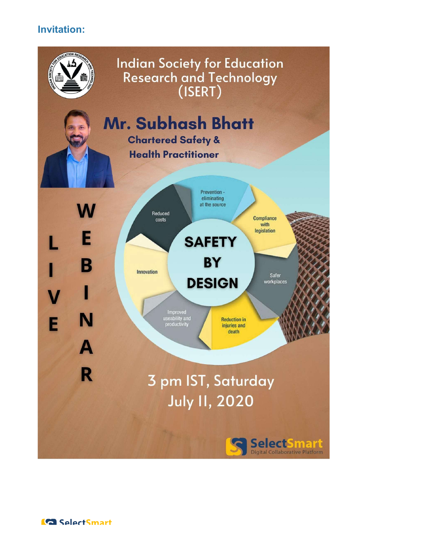# Invitation: